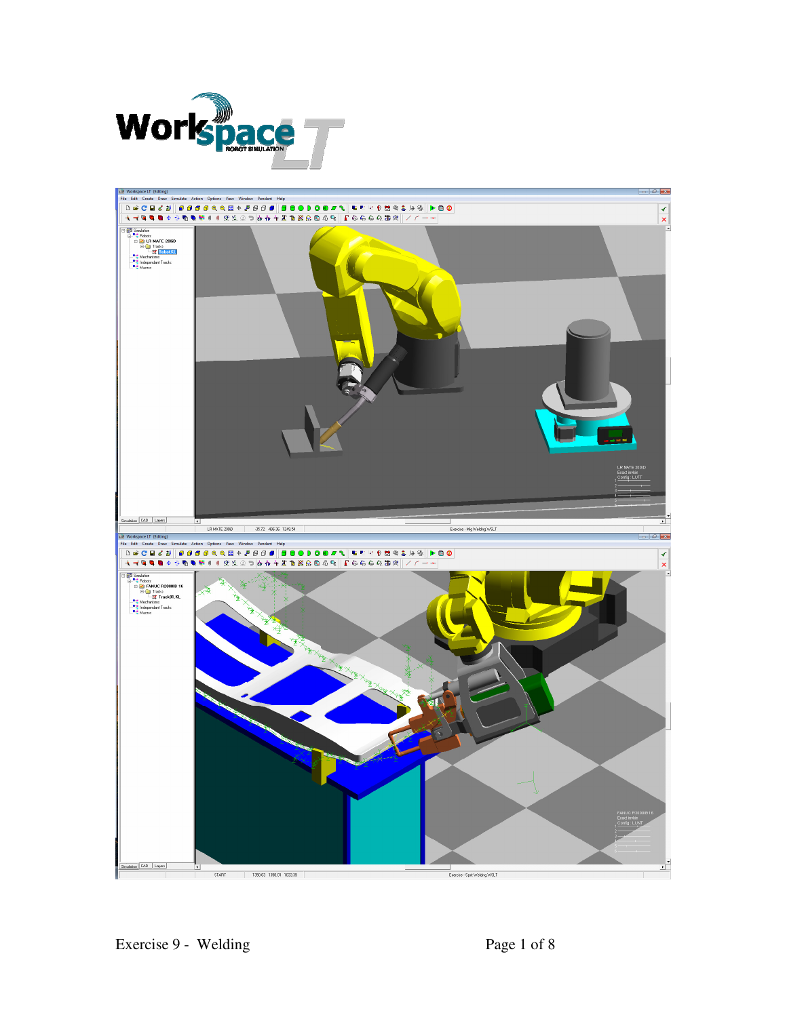

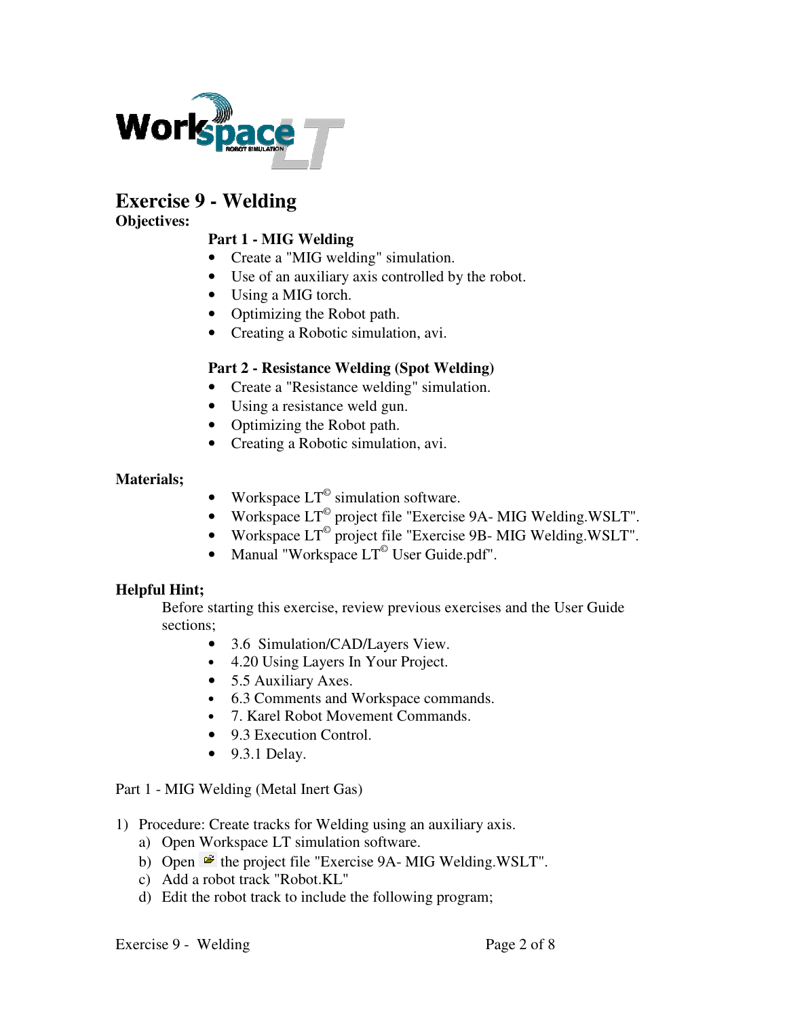

# **Exercise 9 - Welding**

### **Objectives:**

## **Part 1 - MIG Welding**

- Create a "MIG welding" simulation.
- Use of an auxiliary axis controlled by the robot.
- Using a MIG torch.
- Optimizing the Robot path.
- Creating a Robotic simulation, avi.

### **Part 2 - Resistance Welding (Spot Welding)**

- Create a "Resistance welding" simulation.
- Using a resistance weld gun.
- Optimizing the Robot path.
- Creating a Robotic simulation, avi.

### **Materials;**

- Workspace  $LT^{\circ}$  simulation software.
- Workspace  $LT^{\circ}$  project file "Exercise 9A- MIG Welding. WSLT".
- Workspace  $LT^{\circ}$  project file "Exercise 9B- MIG Welding. WSLT".
- Manual "Workspace  $LT^{\degree}$  User Guide.pdf".

### **Helpful Hint;**

Before starting this exercise, review previous exercises and the User Guide sections;

- 3.6 Simulation/CAD/Layers View.
- 4.20 Using Layers In Your Project.
- 5.5 Auxiliary Axes.
- 6.3 Comments and Workspace commands.
- 7. Karel Robot Movement Commands.
- 9.3 Execution Control.
- 9.3.1 Delay.

### Part 1 - MIG Welding (Metal Inert Gas)

- 1) Procedure: Create tracks for Welding using an auxiliary axis.
	- a) Open Workspace LT simulation software.
	- b) Open  $\mathbf{\hat{z}}$  the project file "Exercise 9A- MIG Welding.WSLT".
	- c) Add a robot track "Robot.KL"
	- d) Edit the robot track to include the following program;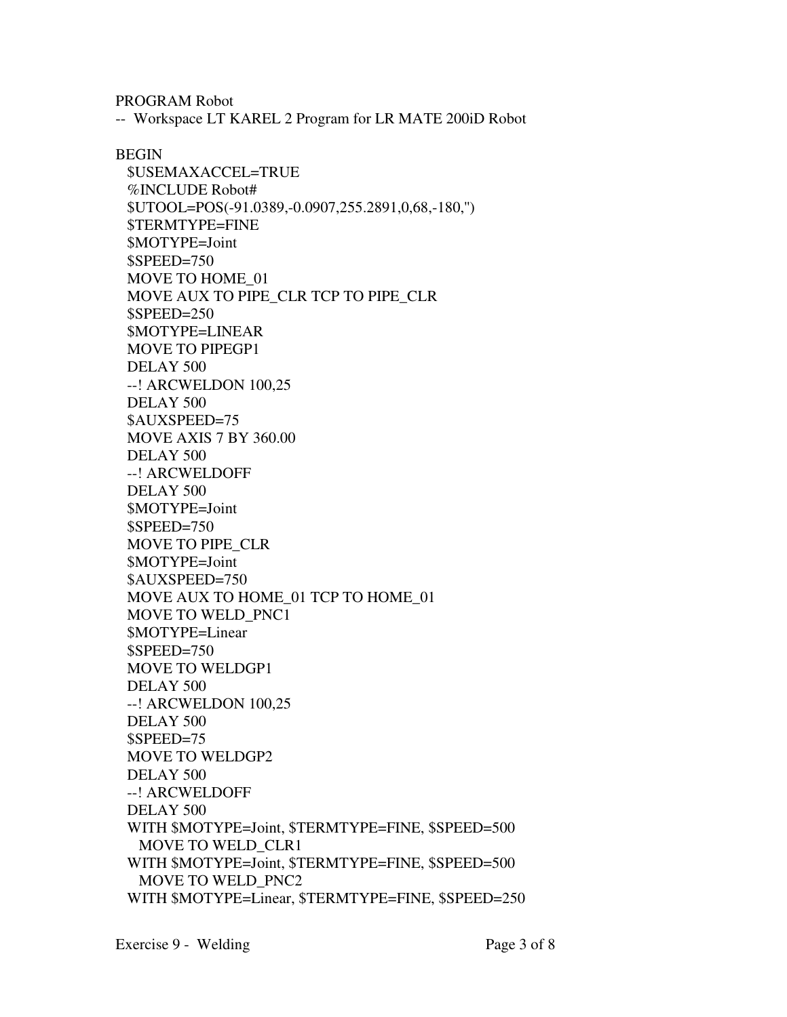PROGRAM Robot

-- Workspace LT KAREL 2 Program for LR MATE 200iD Robot

BEGIN

 \$USEMAXACCEL=TRUE %INCLUDE Robot# \$UTOOL=POS(-91.0389,-0.0907,255.2891,0,68,-180,'') \$TERMTYPE=FINE \$MOTYPE=Joint \$SPEED=750 MOVE TO HOME\_01 MOVE AUX TO PIPE\_CLR TCP TO PIPE\_CLR \$SPEED=250 \$MOTYPE=LINEAR MOVE TO PIPEGP1 DELAY 500 --! ARCWELDON 100,25 DELAY 500 \$AUXSPEED=75 MOVE AXIS 7 BY 360.00 DELAY 500 --! ARCWELDOFF DELAY 500 \$MOTYPE=Joint \$SPEED=750 MOVE TO PIPE\_CLR \$MOTYPE=Joint \$AUXSPEED=750 MOVE AUX TO HOME\_01 TCP TO HOME\_01 MOVE TO WELD\_PNC1 \$MOTYPE=Linear \$SPEED=750 MOVE TO WELDGP1 DELAY 500 --! ARCWELDON 100,25 DELAY 500 \$SPEED=75 MOVE TO WELDGP2 DELAY 500 --! ARCWELDOFF DELAY 500 WITH \$MOTYPE=Joint, \$TERMTYPE=FINE, \$SPEED=500 MOVE TO WELD\_CLR1 WITH \$MOTYPE=Joint, \$TERMTYPE=FINE, \$SPEED=500 MOVE TO WELD\_PNC2 WITH \$MOTYPE=Linear, \$TERMTYPE=FINE, \$SPEED=250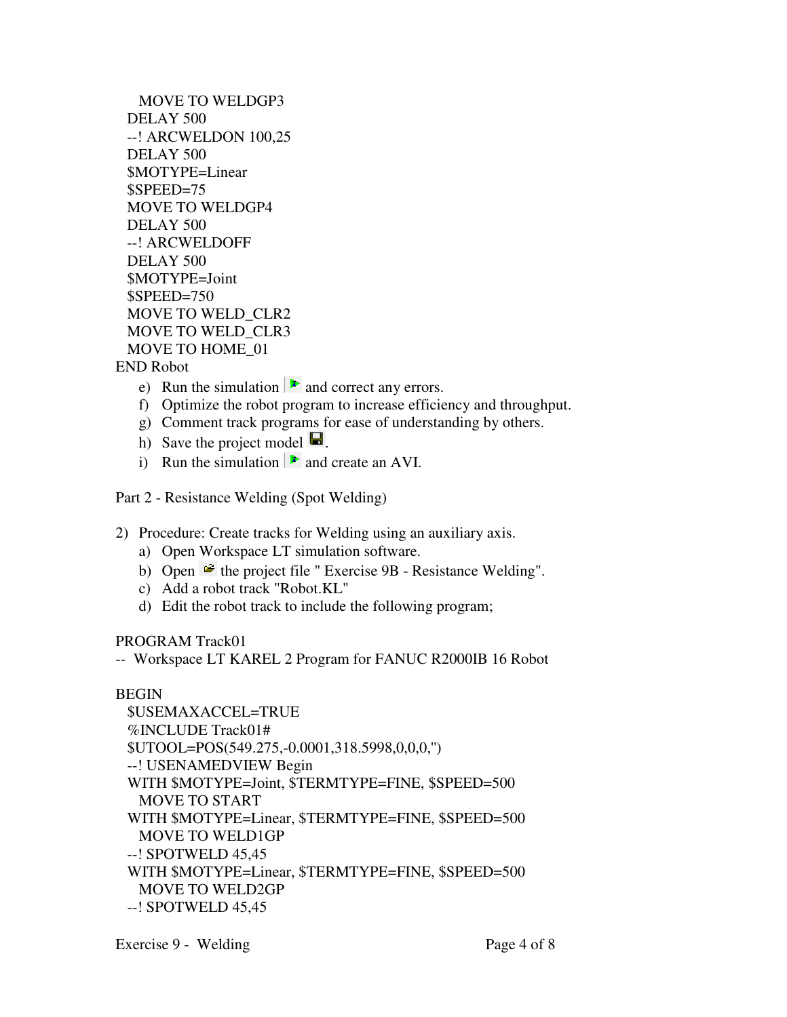MOVE TO WELDGP3 DELAY 500 --! ARCWELDON 100,25 DELAY 500 \$MOTYPE=Linear \$SPEED=75 MOVE TO WELDGP4 DELAY 500 --! ARCWELDOFF DELAY 500 \$MOTYPE=Joint \$SPEED=750 MOVE TO WELD\_CLR2 MOVE TO WELD\_CLR3 MOVE TO HOME\_01

END Robot

- e) Run the simulation  $\blacktriangleright$  and correct any errors.
- f) Optimize the robot program to increase efficiency and throughput.
- g) Comment track programs for ease of understanding by others.
- h) Save the project model  $\blacksquare$ .
- i) Run the simulation  $\triangleright$  and create an AVI.

Part 2 - Resistance Welding (Spot Welding)

- 2) Procedure: Create tracks for Welding using an auxiliary axis.
	- a) Open Workspace LT simulation software.
	- b) Open  $\mathbb{E}$  the project file " Exercise 9B Resistance Welding".
	- c) Add a robot track "Robot.KL"
	- d) Edit the robot track to include the following program;

PROGRAM Track01

-- Workspace LT KAREL 2 Program for FANUC R2000IB 16 Robot

#### BEGIN

```
 $USEMAXACCEL=TRUE 
%INCLUDE Track01# 
$UTOOL=POS(549.275,-0.0001,318.5998,0,0,0,'') 
--! USENAMEDVIEW Begin 
WITH $MOTYPE=Joint, $TERMTYPE=FINE, $SPEED=500 
 MOVE TO START 
WITH $MOTYPE=Linear, $TERMTYPE=FINE, $SPEED=500 
 MOVE TO WELD1GP 
--! SPOTWELD 45,45 
WITH $MOTYPE=Linear, $TERMTYPE=FINE, $SPEED=500 
 MOVE TO WELD2GP 
--! SPOTWELD 45,45
```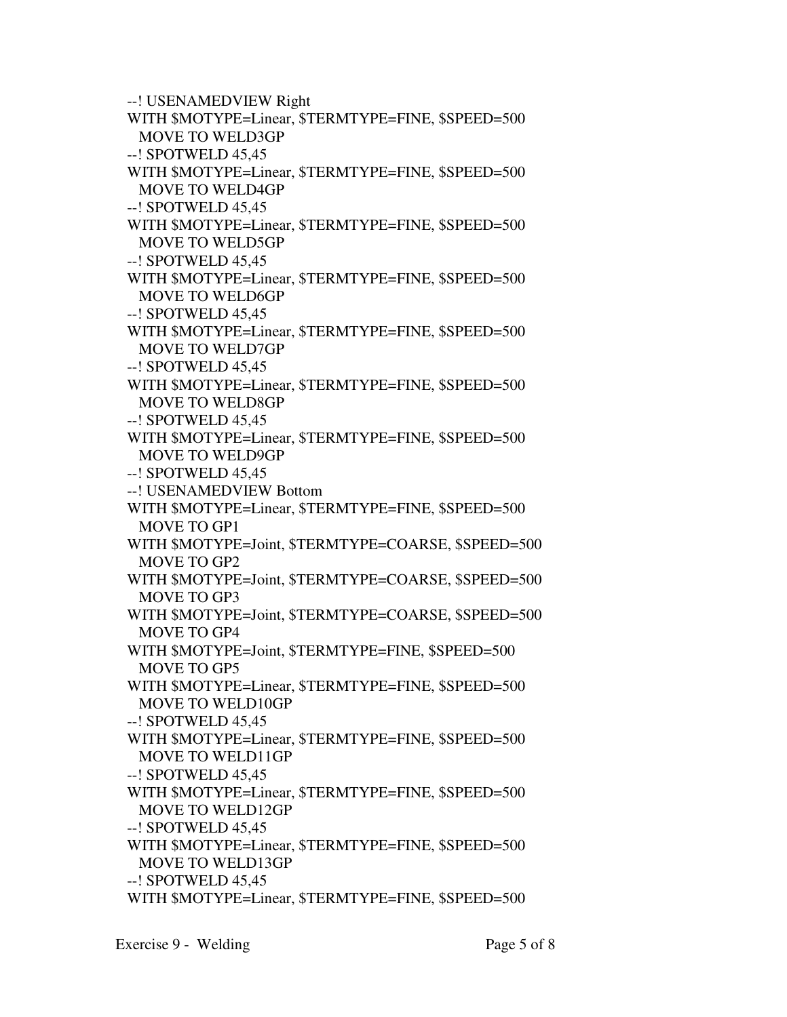```
 --! USENAMEDVIEW Right 
WITH $MOTYPE=Linear, $TERMTYPE=FINE, $SPEED=500 
 MOVE TO WELD3GP 
--! SPOTWELD 45,45 
WITH $MOTYPE=Linear, $TERMTYPE=FINE, $SPEED=500 
 MOVE TO WELD4GP 
--! SPOTWELD 45,45 
WITH $MOTYPE=Linear, $TERMTYPE=FINE, $SPEED=500 
 MOVE TO WELD5GP 
--! SPOTWELD 45,45 
WITH $MOTYPE=Linear, $TERMTYPE=FINE, $SPEED=500 
 MOVE TO WELD6GP 
--! SPOTWELD 45,45 
WITH $MOTYPE=Linear, $TERMTYPE=FINE, $SPEED=500 
 MOVE TO WELD7GP 
--! SPOTWELD 45,45 
WITH $MOTYPE=Linear, $TERMTYPE=FINE, $SPEED=500 
 MOVE TO WELD8GP 
--! SPOTWELD 45,45 
WITH $MOTYPE=Linear, $TERMTYPE=FINE, $SPEED=500 
 MOVE TO WELD9GP 
--! SPOTWELD 45,45 
--! USENAMEDVIEW Bottom 
WITH $MOTYPE=Linear, $TERMTYPE=FINE, $SPEED=500 
 MOVE TO GP1 
WITH $MOTYPE=Joint, $TERMTYPE=COARSE, $SPEED=500
 MOVE TO GP2 
WITH $MOTYPE=Joint, $TERMTYPE=COARSE, $SPEED=500
 MOVE TO GP3 
WITH $MOTYPE=Joint, $TERMTYPE=COARSE, $SPEED=500
 MOVE TO GP4 
WITH $MOTYPE=Joint, $TERMTYPE=FINE, $SPEED=500 
 MOVE TO GP5 
WITH $MOTYPE=Linear, $TERMTYPE=FINE, $SPEED=500 
 MOVE TO WELD10GP 
--! SPOTWELD 45,45 
WITH $MOTYPE=Linear, $TERMTYPE=FINE, $SPEED=500 
 MOVE TO WELD11GP 
--! SPOTWELD 45,45 
WITH $MOTYPE=Linear, $TERMTYPE=FINE, $SPEED=500 
 MOVE TO WELD12GP 
--! SPOTWELD 45,45 
WITH $MOTYPE=Linear, $TERMTYPE=FINE, $SPEED=500 
 MOVE TO WELD13GP 
--! SPOTWELD 45,45 
WITH $MOTYPE=Linear, $TERMTYPE=FINE, $SPEED=500
```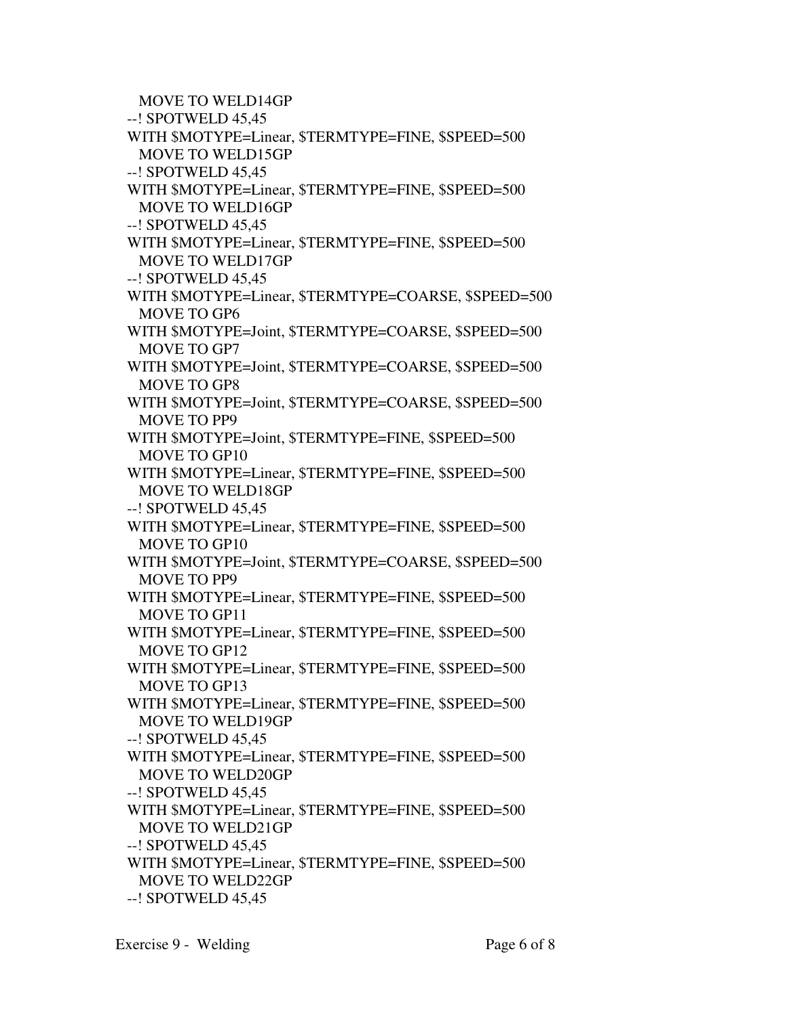MOVE TO WELD14GP --! SPOTWELD 45,45 WITH \$MOTYPE=Linear, \$TERMTYPE=FINE, \$SPEED=500 MOVE TO WELD15GP --! SPOTWELD 45,45 WITH \$MOTYPE=Linear, \$TERMTYPE=FINE, \$SPEED=500 MOVE TO WELD16GP --! SPOTWELD 45,45 WITH \$MOTYPE=Linear, \$TERMTYPE=FINE, \$SPEED=500 MOVE TO WELD17GP --! SPOTWELD 45,45 WITH \$MOTYPE=Linear, \$TERMTYPE=COARSE, \$SPEED=500 MOVE TO GP6 WITH \$MOTYPE=Joint, \$TERMTYPE=COARSE, \$SPEED=500 MOVE TO GP7 WITH \$MOTYPE=Joint, \$TERMTYPE=COARSE, \$SPEED=500 MOVE TO GP8 WITH \$MOTYPE=Joint, \$TERMTYPE=COARSE, \$SPEED=500 MOVE TO PP9 WITH \$MOTYPE=Joint, \$TERMTYPE=FINE, \$SPEED=500 MOVE TO GP10 WITH \$MOTYPE=Linear, \$TERMTYPE=FINE, \$SPEED=500 MOVE TO WELD18GP --! SPOTWELD 45,45 WITH \$MOTYPE=Linear, \$TERMTYPE=FINE, \$SPEED=500 MOVE TO GP10 WITH \$MOTYPE=Joint, \$TERMTYPE=COARSE, \$SPEED=500 MOVE TO PP9 WITH \$MOTYPE=Linear, \$TERMTYPE=FINE, \$SPEED=500 MOVE TO GP11 WITH \$MOTYPE=Linear, \$TERMTYPE=FINE, \$SPEED=500 MOVE TO GP12 WITH \$MOTYPE=Linear, \$TERMTYPE=FINE, \$SPEED=500 MOVE TO GP13 WITH \$MOTYPE=Linear, \$TERMTYPE=FINE, \$SPEED=500 MOVE TO WELD19GP --! SPOTWELD 45,45 WITH \$MOTYPE=Linear, \$TERMTYPE=FINE, \$SPEED=500 MOVE TO WELD20GP --! SPOTWELD 45,45 WITH \$MOTYPE=Linear, \$TERMTYPE=FINE, \$SPEED=500 MOVE TO WELD21GP --! SPOTWELD 45,45 WITH \$MOTYPE=Linear, \$TERMTYPE=FINE, \$SPEED=500 MOVE TO WELD22GP --! SPOTWELD 45,45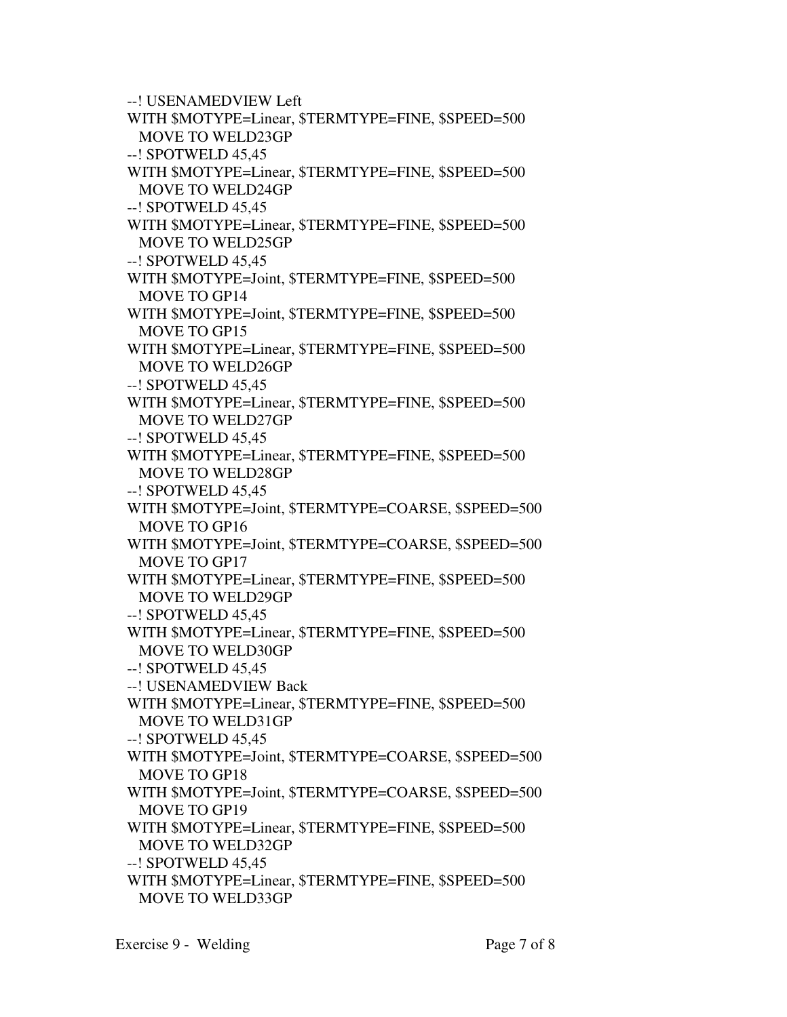```
 --! USENAMEDVIEW Left 
WITH $MOTYPE=Linear, $TERMTYPE=FINE, $SPEED=500 
 MOVE TO WELD23GP 
--! SPOTWELD 45,45 
WITH $MOTYPE=Linear, $TERMTYPE=FINE, $SPEED=500 
 MOVE TO WELD24GP 
--! SPOTWELD 45,45 
WITH $MOTYPE=Linear, $TERMTYPE=FINE, $SPEED=500 
 MOVE TO WELD25GP 
--! SPOTWELD 45,45 
WITH $MOTYPE=Joint, $TERMTYPE=FINE, $SPEED=500 
 MOVE TO GP14 
WITH $MOTYPE=Joint, $TERMTYPE=FINE, $SPEED=500 
 MOVE TO GP15 
WITH $MOTYPE=Linear, $TERMTYPE=FINE, $SPEED=500 
 MOVE TO WELD26GP 
--! SPOTWELD 45,45 
WITH $MOTYPE=Linear, $TERMTYPE=FINE, $SPEED=500 
 MOVE TO WELD27GP 
--! SPOTWELD 45,45 
WITH $MOTYPE=Linear, $TERMTYPE=FINE, $SPEED=500 
 MOVE TO WELD28GP 
--! SPOTWELD 45,45 
WITH $MOTYPE=Joint, $TERMTYPE=COARSE, $SPEED=500
 MOVE TO GP16 
WITH $MOTYPE=Joint, $TERMTYPE=COARSE, $SPEED=500
 MOVE TO GP17 
WITH $MOTYPE=Linear, $TERMTYPE=FINE, $SPEED=500 
 MOVE TO WELD29GP 
--! SPOTWELD 45,45 
WITH $MOTYPE=Linear, $TERMTYPE=FINE, $SPEED=500 
 MOVE TO WELD30GP 
--! SPOTWELD 45,45 
--! USENAMEDVIEW Back 
WITH $MOTYPE=Linear, $TERMTYPE=FINE, $SPEED=500 
 MOVE TO WELD31GP 
--! SPOTWELD 45,45 
WITH $MOTYPE=Joint, $TERMTYPE=COARSE, $SPEED=500
 MOVE TO GP18 
WITH $MOTYPE=Joint, $TERMTYPE=COARSE, $SPEED=500
 MOVE TO GP19 
WITH $MOTYPE=Linear, $TERMTYPE=FINE, $SPEED=500 
 MOVE TO WELD32GP 
--! SPOTWELD 45,45 
WITH $MOTYPE=Linear, $TERMTYPE=FINE, $SPEED=500 
 MOVE TO WELD33GP
```